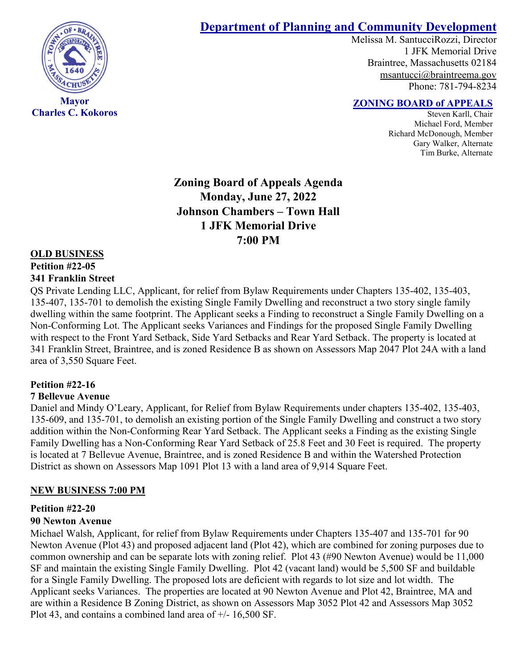

**Charles C. Kokoros**

# **Department of Planning and Community Development**

Melissa M. SantucciRozzi, Director 1 JFK Memorial Drive Braintree, Massachusetts 02184 [msantucci@braintreema.gov](mailto:msantucci@braintreema.gov) Phone: 781-794-8234

# **ZONING BOARD of APPEALS**

Steven Karll, Chair Michael Ford, Member Richard McDonough, Member Gary Walker, Alternate Tim Burke, Alternate

**Zoning Board of Appeals Agenda Monday, June 27, 2022 Johnson Chambers – Town Hall 1 JFK Memorial Drive 7:00 PM**

#### **OLD BUSINESS**

#### **Petition #22-05**

#### **341 Franklin Street**

QS Private Lending LLC, Applicant, for relief from Bylaw Requirements under Chapters 135-402, 135-403, 135-407, 135-701 to demolish the existing Single Family Dwelling and reconstruct a two story single family dwelling within the same footprint. The Applicant seeks a Finding to reconstruct a Single Family Dwelling on a Non-Conforming Lot. The Applicant seeks Variances and Findings for the proposed Single Family Dwelling with respect to the Front Yard Setback, Side Yard Setbacks and Rear Yard Setback. The property is located at 341 Franklin Street, Braintree, and is zoned Residence B as shown on Assessors Map 2047 Plot 24A with a land area of 3,550 Square Feet.

#### **Petition #22-16**

#### **7 Bellevue Avenue**

Daniel and Mindy O'Leary, Applicant, for Relief from Bylaw Requirements under chapters 135-402, 135-403, 135-609, and 135-701, to demolish an existing portion of the Single Family Dwelling and construct a two story addition within the Non-Conforming Rear Yard Setback. The Applicant seeks a Finding as the existing Single Family Dwelling has a Non-Conforming Rear Yard Setback of 25.8 Feet and 30 Feet is required. The property is located at 7 Bellevue Avenue, Braintree, and is zoned Residence B and within the Watershed Protection District as shown on Assessors Map 1091 Plot 13 with a land area of 9,914 Square Feet.

#### **NEW BUSINESS 7:00 PM**

#### **Petition #22-20**

#### **90 Newton Avenue**

Michael Walsh, Applicant, for relief from Bylaw Requirements under Chapters 135-407 and 135-701 for 90 Newton Avenue (Plot 43) and proposed adjacent land (Plot 42), which are combined for zoning purposes due to common ownership and can be separate lots with zoning relief. Plot 43 (#90 Newton Avenue) would be 11,000 SF and maintain the existing Single Family Dwelling. Plot 42 (vacant land) would be 5,500 SF and buildable for a Single Family Dwelling. The proposed lots are deficient with regards to lot size and lot width. The Applicant seeks Variances. The properties are located at 90 Newton Avenue and Plot 42, Braintree, MA and are within a Residence B Zoning District, as shown on Assessors Map 3052 Plot 42 and Assessors Map 3052 Plot 43, and contains a combined land area of +/- 16,500 SF.